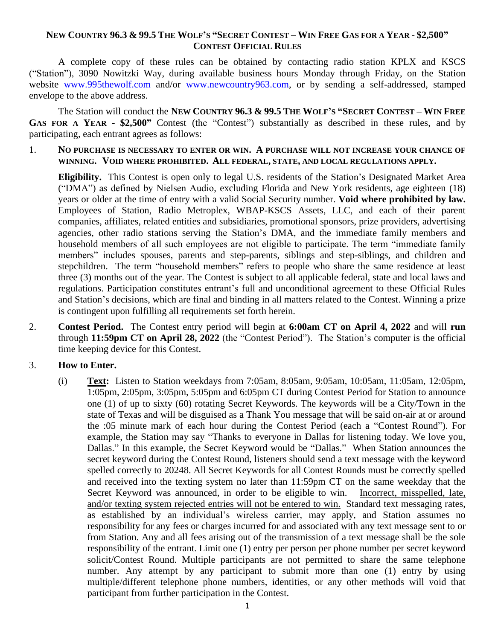### NEW COUNTRY 96.3 & 99.5 THE WOLF'S "SECRET CONTEST – WIN FREE GAS FOR A YEAR - \$2,500" **CONTEST OFFICIAL RULES**

A complete copy of these rules can be obtained by contacting radio station KPLX and KSCS ("Station"), 3090 Nowitzki Way, during available business hours Monday through Friday, on the Station website [www.995thewolf.com](http://www.995thewolf.com/) and/or [www.newcountry963.com,](http://www.newcountry963.com/) or by sending a self-addressed, stamped envelope to the above address.

The Station will conduct the NEW COUNTRY 96.3 & 99.5 THE WOLF'S "SECRET CONTEST - WIN FREE **GAS FOR A YEAR - \$2,500"** Contest (the "Contest") substantially as described in these rules, and by participating, each entrant agrees as follows:

1. **NO PURCHASE IS NECESSARY TO ENTER OR WIN. A PURCHASE WILL NOT INCREASE YOUR CHANCE OF WINNING. VOID WHERE PROHIBITED. ALL FEDERAL, STATE, AND LOCAL REGULATIONS APPLY.**

**Eligibility.** This Contest is open only to legal U.S. residents of the Station's Designated Market Area ("DMA") as defined by Nielsen Audio, excluding Florida and New York residents, age eighteen (18) years or older at the time of entry with a valid Social Security number. **Void where prohibited by law.** Employees of Station, Radio Metroplex, WBAP-KSCS Assets, LLC, and each of their parent companies, affiliates, related entities and subsidiaries, promotional sponsors, prize providers, advertising agencies, other radio stations serving the Station's DMA, and the immediate family members and household members of all such employees are not eligible to participate. The term "immediate family members" includes spouses, parents and step-parents, siblings and step-siblings, and children and stepchildren. The term "household members" refers to people who share the same residence at least three (3) months out of the year. The Contest is subject to all applicable federal, state and local laws and regulations. Participation constitutes entrant's full and unconditional agreement to these Official Rules and Station's decisions, which are final and binding in all matters related to the Contest. Winning a prize is contingent upon fulfilling all requirements set forth herein.

2. **Contest Period.** The Contest entry period will begin at **6:00am CT on April 4, 2022** and will **run**  through **11:59pm CT on April 28, 2022** (the "Contest Period"). The Station's computer is the official time keeping device for this Contest.

# 3. **How to Enter.**

(i) **Text:** Listen to Station weekdays from 7:05am, 8:05am, 9:05am, 10:05am, 11:05am, 12:05pm, 1:05pm, 2:05pm, 3:05pm, 5:05pm and 6:05pm CT during Contest Period for Station to announce one (1) of up to sixty (60) rotating Secret Keywords. The keywords will be a City/Town in the state of Texas and will be disguised as a Thank You message that will be said on-air at or around the :05 minute mark of each hour during the Contest Period (each a "Contest Round"). For example, the Station may say "Thanks to everyone in Dallas for listening today. We love you, Dallas." In this example, the Secret Keyword would be "Dallas." When Station announces the secret keyword during the Contest Round, listeners should send a text message with the keyword spelled correctly to 20248. All Secret Keywords for all Contest Rounds must be correctly spelled and received into the texting system no later than 11:59pm CT on the same weekday that the Secret Keyword was announced, in order to be eligible to win. Incorrect, misspelled, late, and/or texting system rejected entries will not be entered to win.Standard text messaging rates, as established by an individual's wireless carrier, may apply, and Station assumes no responsibility for any fees or charges incurred for and associated with any text message sent to or from Station. Any and all fees arising out of the transmission of a text message shall be the sole responsibility of the entrant. Limit one (1) entry per person per phone number per secret keyword solicit/Contest Round. Multiple participants are not permitted to share the same telephone number. Any attempt by any participant to submit more than one (1) entry by using multiple/different telephone phone numbers, identities, or any other methods will void that participant from further participation in the Contest.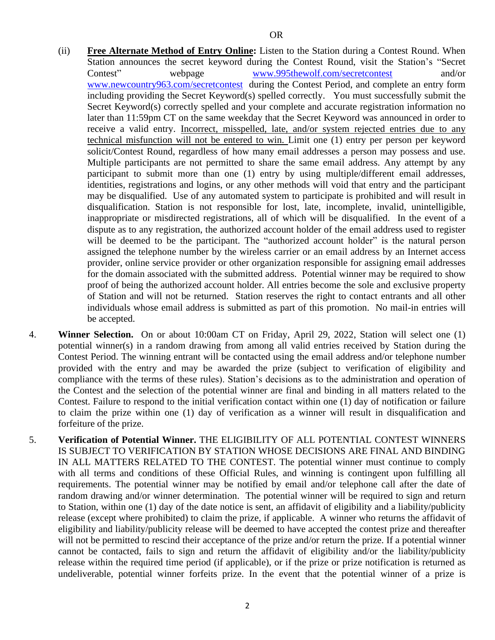- (ii) **Free Alternate Method of Entry Online:** Listen to the Station during a Contest Round. When Station announces the secret keyword during the Contest Round, visit the Station's "Secret Contest" webpage [www.995thewolf.com/secretcontest](http://www.995thewolf.com/secretcontest) and/or [www.newcountry963.com/secretcontest](http://www.newcountry963.com/secretcontest) during the Contest Period, and complete an entry form including providing the Secret Keyword(s) spelled correctly. You must successfully submit the Secret Keyword(s) correctly spelled and your complete and accurate registration information no later than 11:59pm CT on the same weekday that the Secret Keyword was announced in order to receive a valid entry. Incorrect, misspelled, late, and/or system rejected entries due to any technical misfunction will not be entered to win. Limit one (1) entry per person per keyword solicit/Contest Round, regardless of how many email addresses a person may possess and use. Multiple participants are not permitted to share the same email address. Any attempt by any participant to submit more than one (1) entry by using multiple/different email addresses, identities, registrations and logins, or any other methods will void that entry and the participant may be disqualified. Use of any automated system to participate is prohibited and will result in disqualification. Station is not responsible for lost, late, incomplete, invalid, unintelligible, inappropriate or misdirected registrations, all of which will be disqualified. In the event of a dispute as to any registration, the authorized account holder of the email address used to register will be deemed to be the participant. The "authorized account holder" is the natural person assigned the telephone number by the wireless carrier or an email address by an Internet access provider, online service provider or other organization responsible for assigning email addresses for the domain associated with the submitted address. Potential winner may be required to show proof of being the authorized account holder. All entries become the sole and exclusive property of Station and will not be returned. Station reserves the right to contact entrants and all other individuals whose email address is submitted as part of this promotion. No mail-in entries will be accepted.
- 4. **Winner Selection.** On or about 10:00am CT on Friday, April 29, 2022, Station will select one (1) potential winner(s) in a random drawing from among all valid entries received by Station during the Contest Period. The winning entrant will be contacted using the email address and/or telephone number provided with the entry and may be awarded the prize (subject to verification of eligibility and compliance with the terms of these rules). Station's decisions as to the administration and operation of the Contest and the selection of the potential winner are final and binding in all matters related to the Contest. Failure to respond to the initial verification contact within one (1) day of notification or failure to claim the prize within one (1) day of verification as a winner will result in disqualification and forfeiture of the prize.
- 5. **Verification of Potential Winner.** THE ELIGIBILITY OF ALL POTENTIAL CONTEST WINNERS IS SUBJECT TO VERIFICATION BY STATION WHOSE DECISIONS ARE FINAL AND BINDING IN ALL MATTERS RELATED TO THE CONTEST. The potential winner must continue to comply with all terms and conditions of these Official Rules, and winning is contingent upon fulfilling all requirements. The potential winner may be notified by email and/or telephone call after the date of random drawing and/or winner determination. The potential winner will be required to sign and return to Station, within one (1) day of the date notice is sent, an affidavit of eligibility and a liability/publicity release (except where prohibited) to claim the prize, if applicable. A winner who returns the affidavit of eligibility and liability/publicity release will be deemed to have accepted the contest prize and thereafter will not be permitted to rescind their acceptance of the prize and/or return the prize. If a potential winner cannot be contacted, fails to sign and return the affidavit of eligibility and/or the liability/publicity release within the required time period (if applicable), or if the prize or prize notification is returned as undeliverable, potential winner forfeits prize. In the event that the potential winner of a prize is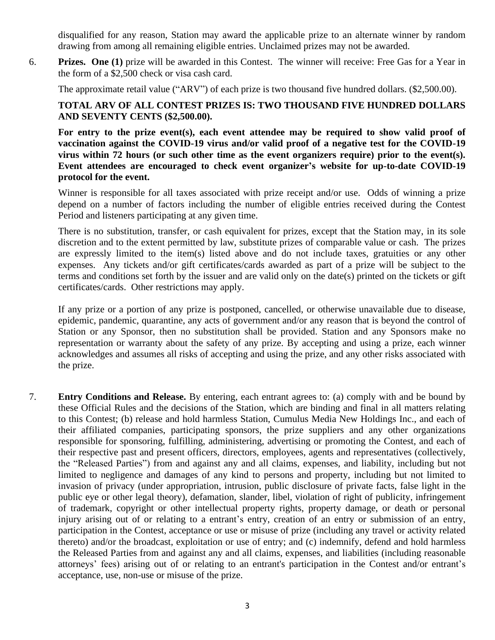disqualified for any reason, Station may award the applicable prize to an alternate winner by random drawing from among all remaining eligible entries. Unclaimed prizes may not be awarded.

6. **Prizes. One (1)** prize will be awarded in this Contest. The winner will receive: Free Gas for a Year in the form of a \$2,500 check or visa cash card.

The approximate retail value ("ARV") of each prize is two thousand five hundred dollars. (\$2,500.00).

# **TOTAL ARV OF ALL CONTEST PRIZES IS: TWO THOUSAND FIVE HUNDRED DOLLARS AND SEVENTY CENTS (\$2,500.00).**

**For entry to the prize event(s), each event attendee may be required to show valid proof of vaccination against the COVID-19 virus and/or valid proof of a negative test for the COVID-19 virus within 72 hours (or such other time as the event organizers require) prior to the event(s). Event attendees are encouraged to check event organizer's website for up-to-date COVID-19 protocol for the event.**

Winner is responsible for all taxes associated with prize receipt and/or use. Odds of winning a prize depend on a number of factors including the number of eligible entries received during the Contest Period and listeners participating at any given time.

There is no substitution, transfer, or cash equivalent for prizes, except that the Station may, in its sole discretion and to the extent permitted by law, substitute prizes of comparable value or cash. The prizes are expressly limited to the item(s) listed above and do not include taxes, gratuities or any other expenses. Any tickets and/or gift certificates/cards awarded as part of a prize will be subject to the terms and conditions set forth by the issuer and are valid only on the date(s) printed on the tickets or gift certificates/cards. Other restrictions may apply.

If any prize or a portion of any prize is postponed, cancelled, or otherwise unavailable due to disease, epidemic, pandemic, quarantine, any acts of government and/or any reason that is beyond the control of Station or any Sponsor, then no substitution shall be provided. Station and any Sponsors make no representation or warranty about the safety of any prize. By accepting and using a prize, each winner acknowledges and assumes all risks of accepting and using the prize, and any other risks associated with the prize.

7. **Entry Conditions and Release.** By entering, each entrant agrees to: (a) comply with and be bound by these Official Rules and the decisions of the Station, which are binding and final in all matters relating to this Contest; (b) release and hold harmless Station, Cumulus Media New Holdings Inc., and each of their affiliated companies, participating sponsors, the prize suppliers and any other organizations responsible for sponsoring, fulfilling, administering, advertising or promoting the Contest, and each of their respective past and present officers, directors, employees, agents and representatives (collectively, the "Released Parties") from and against any and all claims, expenses, and liability, including but not limited to negligence and damages of any kind to persons and property, including but not limited to invasion of privacy (under appropriation, intrusion, public disclosure of private facts, false light in the public eye or other legal theory), defamation, slander, libel, violation of right of publicity, infringement of trademark, copyright or other intellectual property rights, property damage, or death or personal injury arising out of or relating to a entrant's entry, creation of an entry or submission of an entry, participation in the Contest, acceptance or use or misuse of prize (including any travel or activity related thereto) and/or the broadcast, exploitation or use of entry; and (c) indemnify, defend and hold harmless the Released Parties from and against any and all claims, expenses, and liabilities (including reasonable attorneys' fees) arising out of or relating to an entrant's participation in the Contest and/or entrant's acceptance, use, non-use or misuse of the prize.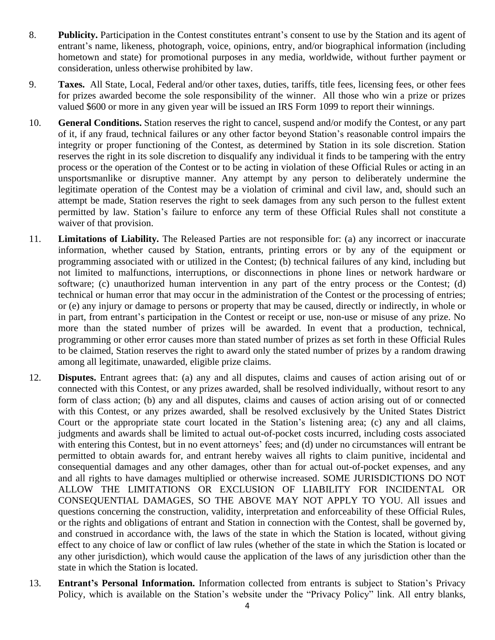- 8. **Publicity.** Participation in the Contest constitutes entrant's consent to use by the Station and its agent of entrant's name, likeness, photograph, voice, opinions, entry, and/or biographical information (including hometown and state) for promotional purposes in any media, worldwide, without further payment or consideration, unless otherwise prohibited by law.
- 9. **Taxes.** All State, Local, Federal and/or other taxes, duties, tariffs, title fees, licensing fees, or other fees for prizes awarded become the sole responsibility of the winner. All those who win a prize or prizes valued \$600 or more in any given year will be issued an IRS Form 1099 to report their winnings.
- 10. **General Conditions.** Station reserves the right to cancel, suspend and/or modify the Contest, or any part of it, if any fraud, technical failures or any other factor beyond Station's reasonable control impairs the integrity or proper functioning of the Contest, as determined by Station in its sole discretion. Station reserves the right in its sole discretion to disqualify any individual it finds to be tampering with the entry process or the operation of the Contest or to be acting in violation of these Official Rules or acting in an unsportsmanlike or disruptive manner. Any attempt by any person to deliberately undermine the legitimate operation of the Contest may be a violation of criminal and civil law, and, should such an attempt be made, Station reserves the right to seek damages from any such person to the fullest extent permitted by law. Station's failure to enforce any term of these Official Rules shall not constitute a waiver of that provision.
- 11. **Limitations of Liability.** The Released Parties are not responsible for: (a) any incorrect or inaccurate information, whether caused by Station, entrants, printing errors or by any of the equipment or programming associated with or utilized in the Contest; (b) technical failures of any kind, including but not limited to malfunctions, interruptions, or disconnections in phone lines or network hardware or software; (c) unauthorized human intervention in any part of the entry process or the Contest; (d) technical or human error that may occur in the administration of the Contest or the processing of entries; or (e) any injury or damage to persons or property that may be caused, directly or indirectly, in whole or in part, from entrant's participation in the Contest or receipt or use, non-use or misuse of any prize. No more than the stated number of prizes will be awarded. In event that a production, technical, programming or other error causes more than stated number of prizes as set forth in these Official Rules to be claimed, Station reserves the right to award only the stated number of prizes by a random drawing among all legitimate, unawarded, eligible prize claims.
- 12. **Disputes.** Entrant agrees that: (a) any and all disputes, claims and causes of action arising out of or connected with this Contest, or any prizes awarded, shall be resolved individually, without resort to any form of class action; (b) any and all disputes, claims and causes of action arising out of or connected with this Contest, or any prizes awarded, shall be resolved exclusively by the United States District Court or the appropriate state court located in the Station's listening area; (c) any and all claims, judgments and awards shall be limited to actual out-of-pocket costs incurred, including costs associated with entering this Contest, but in no event attorneys' fees; and (d) under no circumstances will entrant be permitted to obtain awards for, and entrant hereby waives all rights to claim punitive, incidental and consequential damages and any other damages, other than for actual out-of-pocket expenses, and any and all rights to have damages multiplied or otherwise increased. SOME JURISDICTIONS DO NOT ALLOW THE LIMITATIONS OR EXCLUSION OF LIABILITY FOR INCIDENTAL OR CONSEQUENTIAL DAMAGES, SO THE ABOVE MAY NOT APPLY TO YOU. All issues and questions concerning the construction, validity, interpretation and enforceability of these Official Rules, or the rights and obligations of entrant and Station in connection with the Contest, shall be governed by, and construed in accordance with, the laws of the state in which the Station is located, without giving effect to any choice of law or conflict of law rules (whether of the state in which the Station is located or any other jurisdiction), which would cause the application of the laws of any jurisdiction other than the state in which the Station is located.
- 13. **Entrant's Personal Information.** Information collected from entrants is subject to Station's Privacy Policy, which is available on the Station's website under the "Privacy Policy" link. All entry blanks,